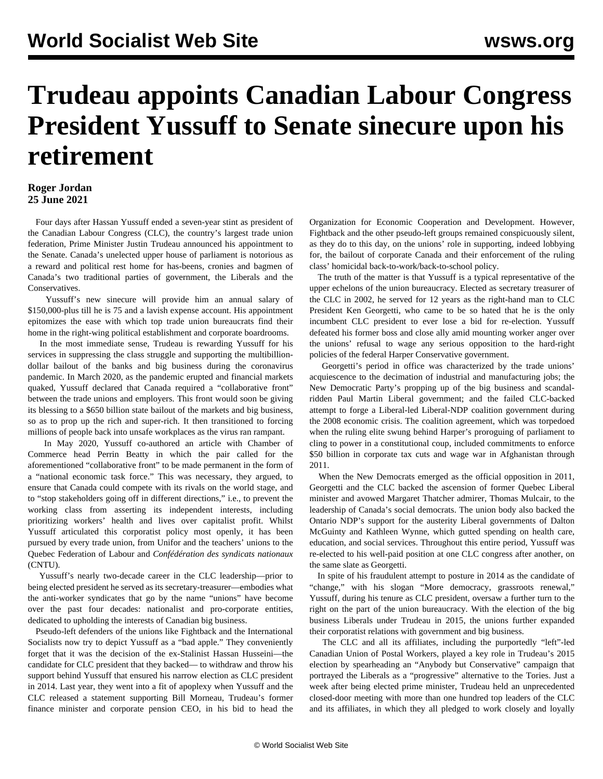## **Trudeau appoints Canadian Labour Congress President Yussuff to Senate sinecure upon his retirement**

## **Roger Jordan 25 June 2021**

 Four days after Hassan Yussuff ended a seven-year stint as president of the Canadian Labour Congress (CLC), the country's largest trade union federation, Prime Minister Justin Trudeau announced his appointment to the Senate. Canada's unelected upper house of parliament is notorious as a reward and political rest home for has-beens, cronies and bagmen of Canada's two traditional parties of government, the Liberals and the Conservatives.

 Yussuff's new sinecure will provide him an annual salary of \$150,000-plus till he is 75 and a lavish expense account. His appointment epitomizes the ease with which top trade union bureaucrats find their home in the right-wing political establishment and corporate boardrooms.

 In the most immediate sense, Trudeau is rewarding Yussuff for his services in suppressing the class struggle and supporting the multibilliondollar bailout of the banks and big business during the coronavirus pandemic. In March 2020, as the pandemic erupted and financial markets quaked, Yussuff declared that Canada required a "collaborative front" between the trade unions and employers. This front would soon be giving its blessing to a \$650 billion state bailout of the markets and big business, so as to prop up the rich and super-rich. It then transitioned to forcing millions of people back into unsafe workplaces as the virus ran rampant.

 In May 2020, Yussuff co-authored an article with Chamber of Commerce head Perrin Beatty in which the pair called for the aforementioned "collaborative front" to be made permanent in the form of a "national economic task force." This was necessary, they argued, to ensure that Canada could compete with its rivals on the world stage, and to "stop stakeholders going off in different directions," i.e., to prevent the working class from asserting its independent interests, including prioritizing workers' health and lives over capitalist profit. Whilst Yussuff articulated this corporatist policy most openly, it has been pursued by every trade union, from Unifor and the teachers' unions to the Quebec Federation of Labour and *Confédération des syndicats nationaux* (CNTU).

 Yussuff's nearly two-decade career in the CLC leadership—prior to being elected president he served as its secretary-treasurer—embodies what the anti-worker syndicates that go by the name "unions" have become over the past four decades: nationalist and pro-corporate entities, dedicated to upholding the interests of Canadian big business.

 Pseudo-left defenders of the unions like Fightback and the International Socialists now try to depict Yussuff as a "bad apple." They conveniently forget that it was the decision of the ex-Stalinist Hassan Husseini—the candidate for CLC president that they backed— to withdraw and throw his support behind Yussuff that ensured his narrow election as CLC president in 2014. Last year, they went into a fit of apoplexy when Yussuff and the CLC released a statement supporting Bill Morneau, Trudeau's former finance minister and corporate pension CEO, in his bid to head the Organization for Economic Cooperation and Development. However, Fightback and the other pseudo-left groups remained conspicuously silent, as they do to this day, on the unions' role in supporting, indeed lobbying for, the bailout of corporate Canada and their enforcement of the ruling class' homicidal back-to-work/back-to-school policy.

 The truth of the matter is that Yussuff is a typical representative of the upper echelons of the union bureaucracy. Elected as secretary treasurer of the CLC in 2002, he served for 12 years as the right-hand man to CLC President Ken Georgetti, who came to be so hated that he is the only incumbent CLC president to ever lose a bid for re-election. Yussuff defeated his former boss and close ally amid mounting worker anger over the unions' refusal to wage any serious opposition to the hard-right policies of the federal Harper Conservative government.

 Georgetti's period in office was characterized by the trade unions' acquiescence to the decimation of industrial and manufacturing jobs; the New Democratic Party's propping up of the big business and scandalridden Paul Martin Liberal government; and the failed CLC-backed attempt to forge a Liberal-led Liberal-NDP coalition government during the 2008 economic crisis. The coalition agreement, which was torpedoed when the ruling elite swung behind Harper's proroguing of parliament to cling to power in a constitutional coup, included commitments to enforce \$50 billion in corporate tax cuts and wage war in Afghanistan through 2011.

 When the New Democrats emerged as the official opposition in 2011, Georgetti and the CLC backed the ascension of former Quebec Liberal minister and avowed Margaret Thatcher admirer, Thomas Mulcair, to the leadership of Canada's social democrats. The union body also backed the Ontario NDP's support for the austerity Liberal governments of Dalton McGuinty and Kathleen Wynne, which gutted spending on health care, education, and social services. Throughout this entire period, Yussuff was re-elected to his well-paid position at one CLC congress after another, on the same slate as Georgetti.

 In spite of his fraudulent attempt to posture in 2014 as the candidate of "change," with his slogan "More democracy, grassroots renewal," Yussuff, during his tenure as CLC president, oversaw a further turn to the right on the part of the union bureaucracy. With the election of the big business Liberals under Trudeau in 2015, the unions further expanded their corporatist relations with government and big business.

 The CLC and all its affiliates, including the purportedly "left"-led Canadian Union of Postal Workers, played a key role in Trudeau's 2015 election by spearheading an "Anybody but Conservative" campaign that portrayed the Liberals as a "progressive" alternative to the Tories. Just a week after being elected prime minister, Trudeau held an unprecedented closed-door meeting with more than one hundred top leaders of the CLC and its affiliates, in which they all pledged to work closely and loyally